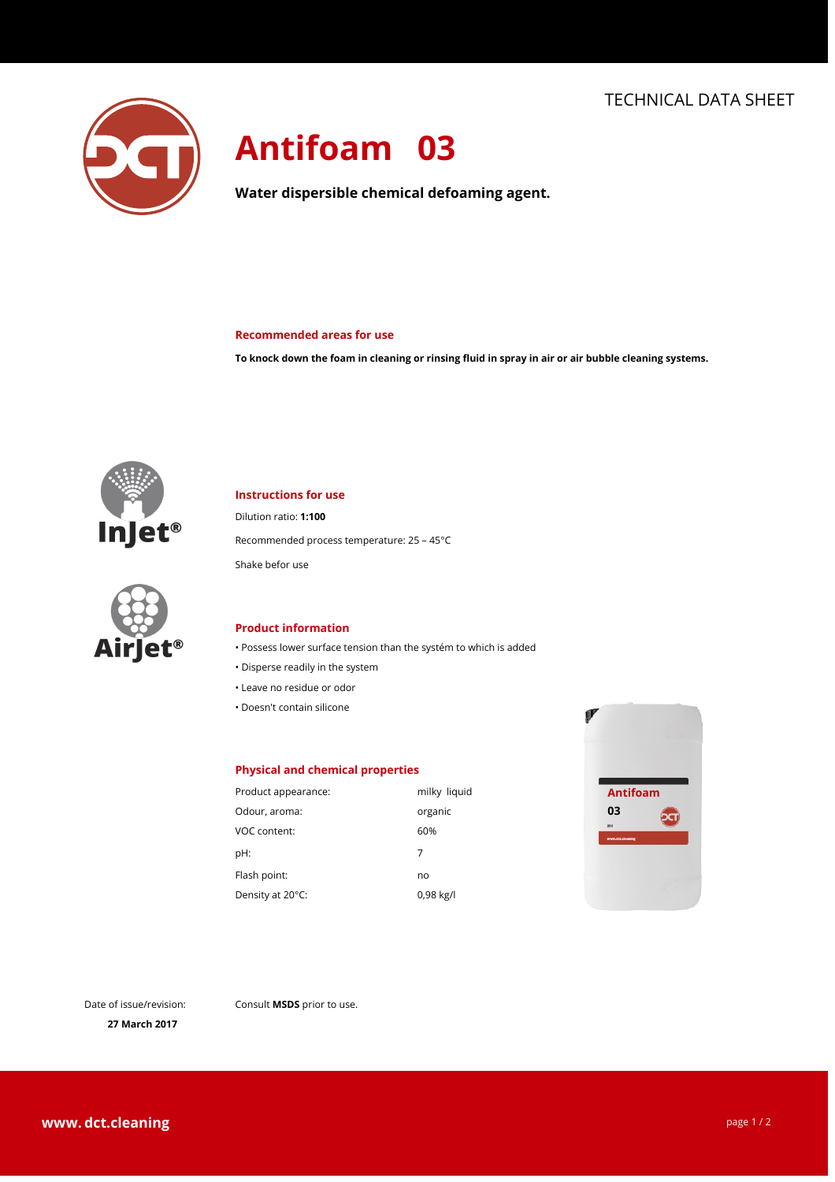

# **Antifoam 03**

**Water dispersible chemical defoaming agent.**

#### **Recommended areas for use**

**To knock down the foam in cleaning or rinsing fluid in spray in air or air bubble cleaning systems.**



# **Instructions for use**

Dilution ratio: **1:100**

Recommended process temperature: 25 – 45°C

Shake befor use



#### **Product information**

- Possess lower surface tension than the systém to which is added
- $\cdot$  Disperse readily in the system
- Leave no residue or odor
- Doesn't contain silicone

### **Physical and chemical properties**

| Product appearance: | milky liquid | Ar            |
|---------------------|--------------|---------------|
| Odour, aroma:       | organic      | 03            |
| VOC content:        | 60%          | 251<br>www.dc |
| pH:                 | 7            |               |
| Flash point:        | no           |               |
| Density at 20°C:    | 0,98 kg/l    |               |



Date of issue/revision:

Consult **MSDS** prior to use.

**27 March 2017**